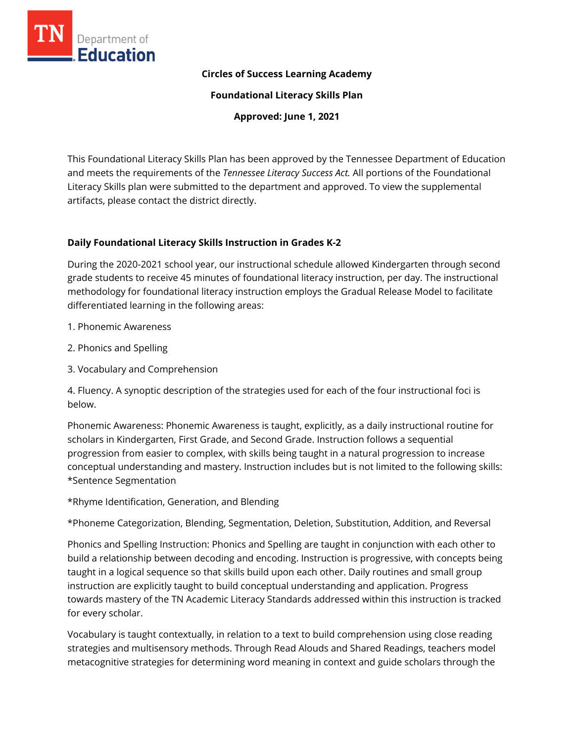

#### **Circles of Success Learning Academy**

**Foundational Literacy Skills Plan**

**Approved: June 1, 2021**

This Foundational Literacy Skills Plan has been approved by the Tennessee Department of Education and meets the requirements of the *Tennessee Literacy Success Act.* All portions of the Foundational Literacy Skills plan were submitted to the department and approved. To view the supplemental artifacts, please contact the district directly.

### **Daily Foundational Literacy Skills Instruction in Grades K-2**

During the 2020-2021 school year, our instructional schedule allowed Kindergarten through second grade students to receive 45 minutes of foundational literacy instruction, per day. The instructional methodology for foundational literacy instruction employs the Gradual Release Model to facilitate differentiated learning in the following areas:

- 1. Phonemic Awareness
- 2. Phonics and Spelling
- 3. Vocabulary and Comprehension

4. Fluency. A synoptic description of the strategies used for each of the four instructional foci is below.

Phonemic Awareness: Phonemic Awareness is taught, explicitly, as a daily instructional routine for scholars in Kindergarten, First Grade, and Second Grade. Instruction follows a sequential progression from easier to complex, with skills being taught in a natural progression to increase conceptual understanding and mastery. Instruction includes but is not limited to the following skills: \*Sentence Segmentation

\*Rhyme Identification, Generation, and Blending

\*Phoneme Categorization, Blending, Segmentation, Deletion, Substitution, Addition, and Reversal

Phonics and Spelling Instruction: Phonics and Spelling are taught in conjunction with each other to build a relationship between decoding and encoding. Instruction is progressive, with concepts being taught in a logical sequence so that skills build upon each other. Daily routines and small group instruction are explicitly taught to build conceptual understanding and application. Progress towards mastery of the TN Academic Literacy Standards addressed within this instruction is tracked for every scholar.

Vocabulary is taught contextually, in relation to a text to build comprehension using close reading strategies and multisensory methods. Through Read Alouds and Shared Readings, teachers model metacognitive strategies for determining word meaning in context and guide scholars through the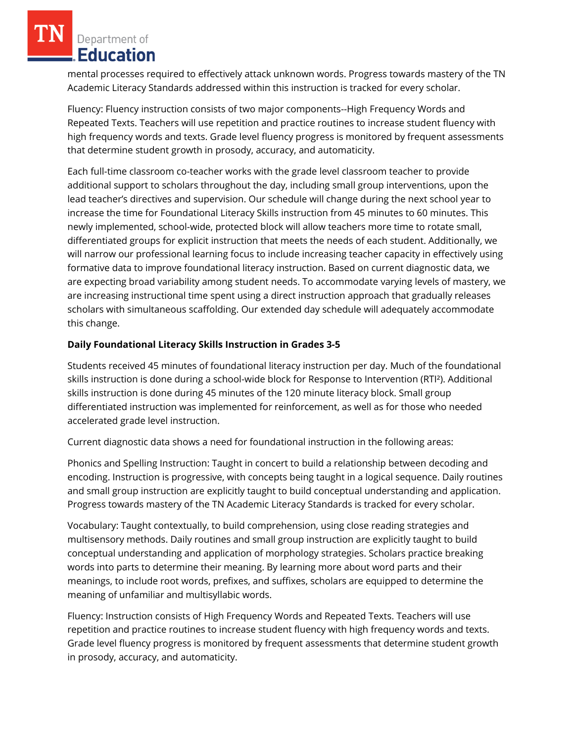Department of **Education** 

mental processes required to effectively attack unknown words. Progress towards mastery of the TN Academic Literacy Standards addressed within this instruction is tracked for every scholar.

Fluency: Fluency instruction consists of two major components--High Frequency Words and Repeated Texts. Teachers will use repetition and practice routines to increase student fluency with high frequency words and texts. Grade level fluency progress is monitored by frequent assessments that determine student growth in prosody, accuracy, and automaticity.

Each full-time classroom co-teacher works with the grade level classroom teacher to provide additional support to scholars throughout the day, including small group interventions, upon the lead teacher's directives and supervision. Our schedule will change during the next school year to increase the time for Foundational Literacy Skills instruction from 45 minutes to 60 minutes. This newly implemented, school-wide, protected block will allow teachers more time to rotate small, differentiated groups for explicit instruction that meets the needs of each student. Additionally, we will narrow our professional learning focus to include increasing teacher capacity in effectively using formative data to improve foundational literacy instruction. Based on current diagnostic data, we are expecting broad variability among student needs. To accommodate varying levels of mastery, we are increasing instructional time spent using a direct instruction approach that gradually releases scholars with simultaneous scaffolding. Our extended day schedule will adequately accommodate this change.

## **Daily Foundational Literacy Skills Instruction in Grades 3-5**

Students received 45 minutes of foundational literacy instruction per day. Much of the foundational skills instruction is done during a school-wide block for Response to Intervention (RTI²). Additional skills instruction is done during 45 minutes of the 120 minute literacy block. Small group differentiated instruction was implemented for reinforcement, as well as for those who needed accelerated grade level instruction.

Current diagnostic data shows a need for foundational instruction in the following areas:

Phonics and Spelling Instruction: Taught in concert to build a relationship between decoding and encoding. Instruction is progressive, with concepts being taught in a logical sequence. Daily routines and small group instruction are explicitly taught to build conceptual understanding and application. Progress towards mastery of the TN Academic Literacy Standards is tracked for every scholar.

Vocabulary: Taught contextually, to build comprehension, using close reading strategies and multisensory methods. Daily routines and small group instruction are explicitly taught to build conceptual understanding and application of morphology strategies. Scholars practice breaking words into parts to determine their meaning. By learning more about word parts and their meanings, to include root words, prefixes, and suffixes, scholars are equipped to determine the meaning of unfamiliar and multisyllabic words.

Fluency: Instruction consists of High Frequency Words and Repeated Texts. Teachers will use repetition and practice routines to increase student fluency with high frequency words and texts. Grade level fluency progress is monitored by frequent assessments that determine student growth in prosody, accuracy, and automaticity.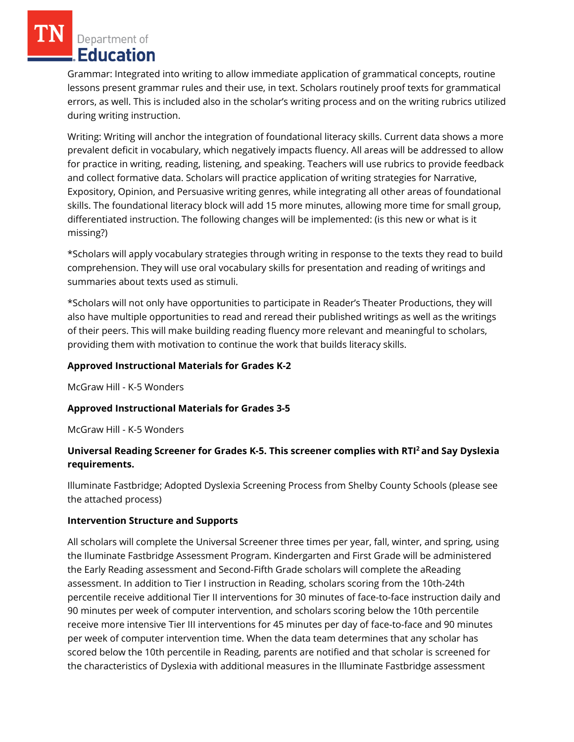Department of **Education** 

Grammar: Integrated into writing to allow immediate application of grammatical concepts, routine lessons present grammar rules and their use, in text. Scholars routinely proof texts for grammatical errors, as well. This is included also in the scholar's writing process and on the writing rubrics utilized during writing instruction.

Writing: Writing will anchor the integration of foundational literacy skills. Current data shows a more prevalent deficit in vocabulary, which negatively impacts fluency. All areas will be addressed to allow for practice in writing, reading, listening, and speaking. Teachers will use rubrics to provide feedback and collect formative data. Scholars will practice application of writing strategies for Narrative, Expository, Opinion, and Persuasive writing genres, while integrating all other areas of foundational skills. The foundational literacy block will add 15 more minutes, allowing more time for small group, differentiated instruction. The following changes will be implemented: (is this new or what is it missing?)

\*Scholars will apply vocabulary strategies through writing in response to the texts they read to build comprehension. They will use oral vocabulary skills for presentation and reading of writings and summaries about texts used as stimuli.

\*Scholars will not only have opportunities to participate in Reader's Theater Productions, they will also have multiple opportunities to read and reread their published writings as well as the writings of their peers. This will make building reading fluency more relevant and meaningful to scholars, providing them with motivation to continue the work that builds literacy skills.

#### **Approved Instructional Materials for Grades K-2**

McGraw Hill - K-5 Wonders

### **Approved Instructional Materials for Grades 3-5**

McGraw Hill - K-5 Wonders

# **Universal Reading Screener for Grades K-5. This screener complies with RTI<sup>2</sup>and Say Dyslexia requirements.**

Illuminate Fastbridge; Adopted Dyslexia Screening Process from Shelby County Schools (please see the attached process)

#### **Intervention Structure and Supports**

All scholars will complete the Universal Screener three times per year, fall, winter, and spring, using the Iluminate Fastbridge Assessment Program. Kindergarten and First Grade will be administered the Early Reading assessment and Second-Fifth Grade scholars will complete the aReading assessment. In addition to Tier I instruction in Reading, scholars scoring from the 10th-24th percentile receive additional Tier II interventions for 30 minutes of face-to-face instruction daily and 90 minutes per week of computer intervention, and scholars scoring below the 10th percentile receive more intensive Tier III interventions for 45 minutes per day of face-to-face and 90 minutes per week of computer intervention time. When the data team determines that any scholar has scored below the 10th percentile in Reading, parents are notified and that scholar is screened for the characteristics of Dyslexia with additional measures in the Illuminate Fastbridge assessment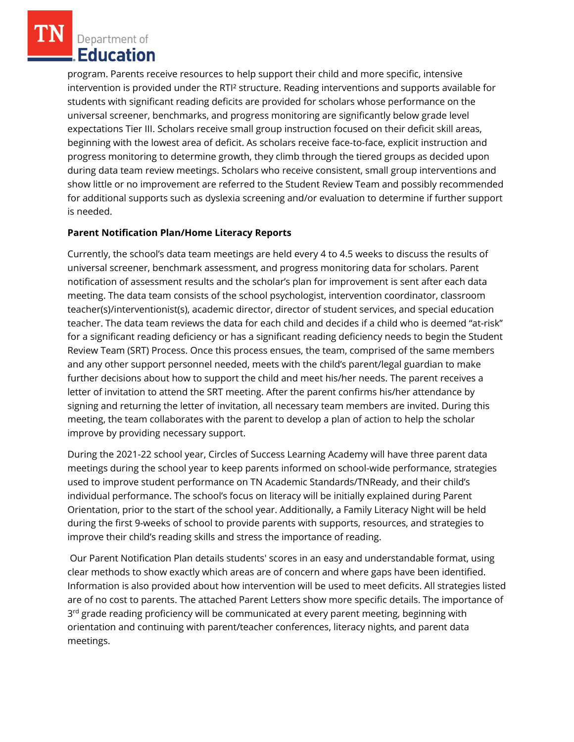Department of Education

program. Parents receive resources to help support their child and more specific, intensive intervention is provided under the RTI² structure. Reading interventions and supports available for students with significant reading deficits are provided for scholars whose performance on the universal screener, benchmarks, and progress monitoring are significantly below grade level expectations Tier III. Scholars receive small group instruction focused on their deficit skill areas, beginning with the lowest area of deficit. As scholars receive face-to-face, explicit instruction and progress monitoring to determine growth, they climb through the tiered groups as decided upon during data team review meetings. Scholars who receive consistent, small group interventions and show little or no improvement are referred to the Student Review Team and possibly recommended for additional supports such as dyslexia screening and/or evaluation to determine if further support is needed.

### **Parent Notification Plan/Home Literacy Reports**

Currently, the school's data team meetings are held every 4 to 4.5 weeks to discuss the results of universal screener, benchmark assessment, and progress monitoring data for scholars. Parent notification of assessment results and the scholar's plan for improvement is sent after each data meeting. The data team consists of the school psychologist, intervention coordinator, classroom teacher(s)/interventionist(s), academic director, director of student services, and special education teacher. The data team reviews the data for each child and decides if a child who is deemed "at-risk" for a significant reading deficiency or has a significant reading deficiency needs to begin the Student Review Team (SRT) Process. Once this process ensues, the team, comprised of the same members and any other support personnel needed, meets with the child's parent/legal guardian to make further decisions about how to support the child and meet his/her needs. The parent receives a letter of invitation to attend the SRT meeting. After the parent confirms his/her attendance by signing and returning the letter of invitation, all necessary team members are invited. During this meeting, the team collaborates with the parent to develop a plan of action to help the scholar improve by providing necessary support.

During the 2021-22 school year, Circles of Success Learning Academy will have three parent data meetings during the school year to keep parents informed on school-wide performance, strategies used to improve student performance on TN Academic Standards/TNReady, and their child's individual performance. The school's focus on literacy will be initially explained during Parent Orientation, prior to the start of the school year. Additionally, a Family Literacy Night will be held during the first 9-weeks of school to provide parents with supports, resources, and strategies to improve their child's reading skills and stress the importance of reading.

Our Parent Notification Plan details students' scores in an easy and understandable format, using clear methods to show exactly which areas are of concern and where gaps have been identified. Information is also provided about how intervention will be used to meet deficits. All strategies listed are of no cost to parents. The attached Parent Letters show more specific details. The importance of 3<sup>rd</sup> grade reading proficiency will be communicated at every parent meeting, beginning with orientation and continuing with parent/teacher conferences, literacy nights, and parent data meetings.